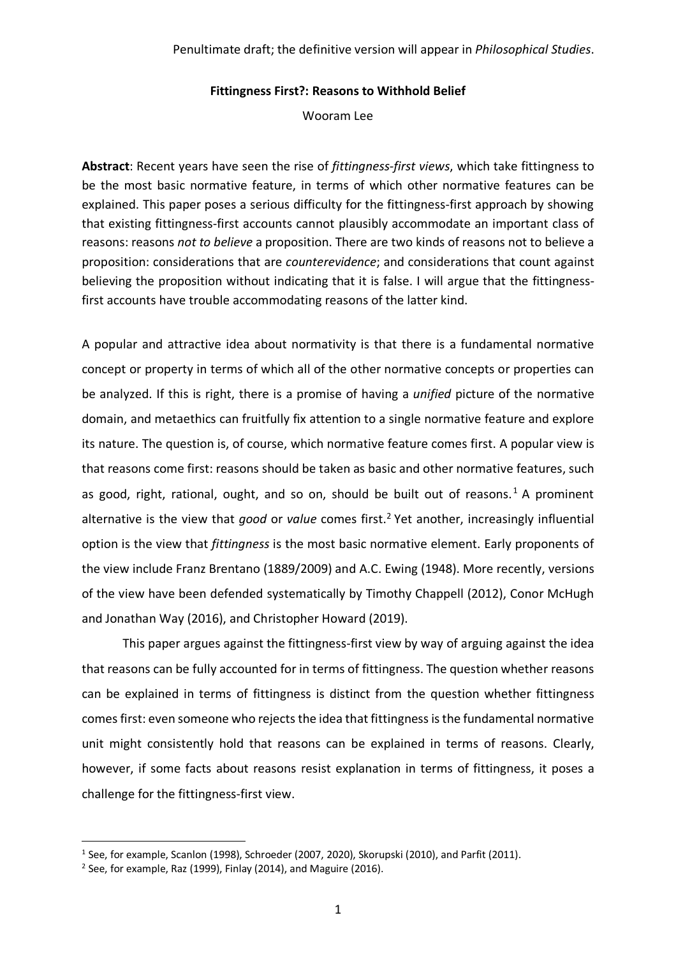#### **Fittingness First?: Reasons to Withhold Belief**

Wooram Lee

**Abstract**: Recent years have seen the rise of *fittingness-first views*, which take fittingness to be the most basic normative feature, in terms of which other normative features can be explained. This paper poses a serious difficulty for the fittingness-first approach by showing that existing fittingness-first accounts cannot plausibly accommodate an important class of reasons: reasons *not to believe* a proposition. There are two kinds of reasons not to believe a proposition: considerations that are *counterevidence*; and considerations that count against believing the proposition without indicating that it is false. I will argue that the fittingnessfirst accounts have trouble accommodating reasons of the latter kind.

A popular and attractive idea about normativity is that there is a fundamental normative concept or property in terms of which all of the other normative concepts or properties can be analyzed. If this is right, there is a promise of having a *unified* picture of the normative domain, and metaethics can fruitfully fix attention to a single normative feature and explore its nature. The question is, of course, which normative feature comes first. A popular view is that reasons come first: reasons should be taken as basic and other normative features, such as good, right, rational, ought, and so on, should be built out of reasons.<sup>1</sup> A prominent alternative is the view that *good* or *value* comes first. <sup>2</sup> Yet another, increasingly influential option is the view that *fittingness* is the most basic normative element. Early proponents of the view include Franz Brentano (1889/2009) and A.C. Ewing (1948). More recently, versions of the view have been defended systematically by Timothy Chappell (2012), Conor McHugh and Jonathan Way (2016), and Christopher Howard (2019).

This paper argues against the fittingness-first view by way of arguing against the idea that reasons can be fully accounted for in terms of fittingness. The question whether reasons can be explained in terms of fittingness is distinct from the question whether fittingness comes first: even someone who rejects the idea that fittingness is the fundamental normative unit might consistently hold that reasons can be explained in terms of reasons. Clearly, however, if some facts about reasons resist explanation in terms of fittingness, it poses a challenge for the fittingness-first view.

<sup>&</sup>lt;sup>1</sup> See, for example, Scanlon (1998), Schroeder (2007, 2020), Skorupski (2010), and Parfit (2011).

<sup>2</sup> See, for example, Raz (1999), Finlay (2014), and Maguire (2016).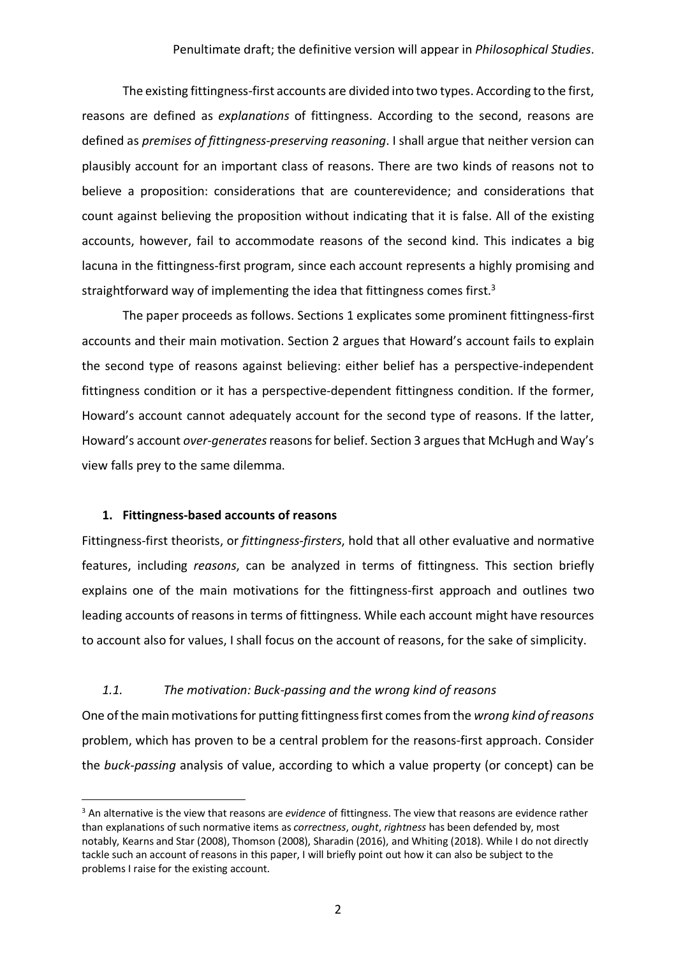The existing fittingness-first accounts are divided into two types. According to the first, reasons are defined as *explanations* of fittingness. According to the second, reasons are defined as *premises of fittingness-preserving reasoning*. I shall argue that neither version can plausibly account for an important class of reasons. There are two kinds of reasons not to believe a proposition: considerations that are counterevidence; and considerations that count against believing the proposition without indicating that it is false. All of the existing accounts, however, fail to accommodate reasons of the second kind. This indicates a big lacuna in the fittingness-first program, since each account represents a highly promising and straightforward way of implementing the idea that fittingness comes first.<sup>3</sup>

The paper proceeds as follows. Sections 1 explicates some prominent fittingness-first accounts and their main motivation. Section 2 argues that Howard's account fails to explain the second type of reasons against believing: either belief has a perspective-independent fittingness condition or it has a perspective-dependent fittingness condition. If the former, Howard's account cannot adequately account for the second type of reasons. If the latter, Howard's account *over-generates*reasons for belief. Section 3 argues that McHugh and Way's view falls prey to the same dilemma.

#### **1. Fittingness-based accounts of reasons**

Fittingness-first theorists, or *fittingness-firsters*, hold that all other evaluative and normative features, including *reasons*, can be analyzed in terms of fittingness. This section briefly explains one of the main motivations for the fittingness-first approach and outlines two leading accounts of reasons in terms of fittingness. While each account might have resources to account also for values, I shall focus on the account of reasons, for the sake of simplicity.

#### *1.1. The motivation: Buck-passing and the wrong kind of reasons*

One of the main motivations for putting fittingness first comes from the *wrong kind of reasons* problem, which has proven to be a central problem for the reasons-first approach. Consider the *buck-passing* analysis of value, according to which a value property (or concept) can be

 <sup>3</sup> An alternative is the view that reasons are *evidence* of fittingness. The view that reasons are evidence rather than explanations of such normative items as *correctness*, *ought*, *rightness* has been defended by, most notably, Kearns and Star (2008), Thomson (2008), Sharadin (2016), and Whiting (2018). While I do not directly tackle such an account of reasons in this paper, I will briefly point out how it can also be subject to the problems I raise for the existing account.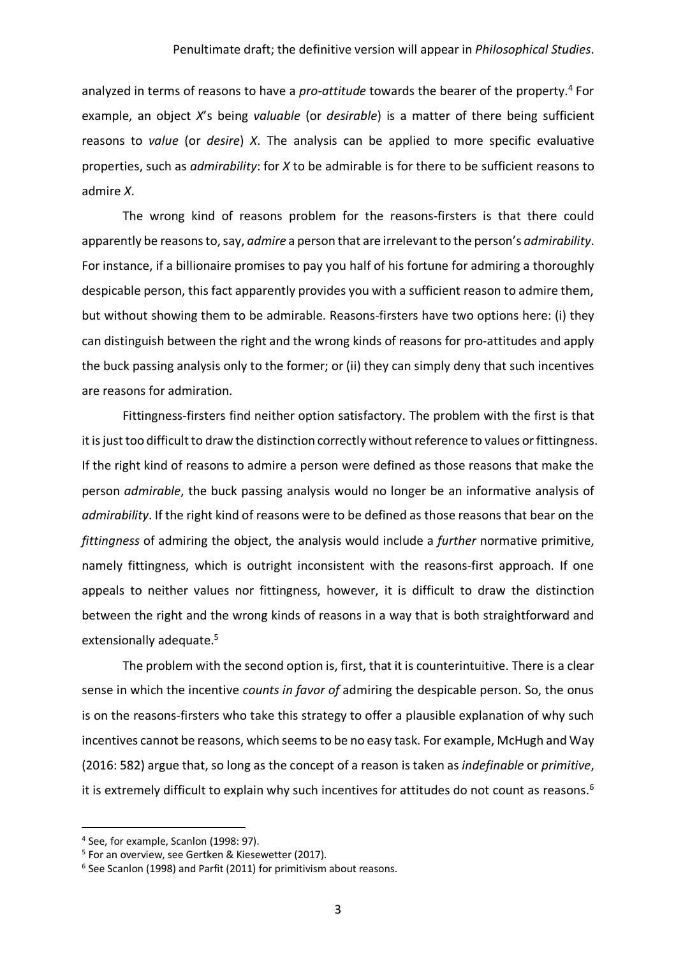analyzed in terms of reasons to have a *pro-attitude* towards the bearer of the property.<sup>4</sup> For example, an object *X*'s being *valuable* (or *desirable*) is a matter of there being sufficient reasons to *value* (or *desire*) *X*. The analysis can be applied to more specific evaluative properties, such as *admirability*: for *X* to be admirable is for there to be sufficient reasons to admire *X*.

The wrong kind of reasons problem for the reasons-firsters is that there could apparently be reasons to, say, *admire* a person that are irrelevant to the person's *admirability*. For instance, if a billionaire promises to pay you half of his fortune for admiring a thoroughly despicable person, this fact apparently provides you with a sufficient reason to admire them, but without showing them to be admirable. Reasons-firsters have two options here: (i) they can distinguish between the right and the wrong kinds of reasons for pro-attitudes and apply the buck passing analysis only to the former; or (ii) they can simply deny that such incentives are reasons for admiration.

Fittingness-firsters find neither option satisfactory. The problem with the first is that it is just too difficult to draw the distinction correctly without reference to values or fittingness. If the right kind of reasons to admire a person were defined as those reasons that make the person *admirable*, the buck passing analysis would no longer be an informative analysis of *admirability*. If the right kind of reasons were to be defined as those reasons that bear on the *fittingness* of admiring the object, the analysis would include a *further* normative primitive, namely fittingness, which is outright inconsistent with the reasons-first approach. If one appeals to neither values nor fittingness, however, it is difficult to draw the distinction between the right and the wrong kinds of reasons in a way that is both straightforward and extensionally adequate.<sup>5</sup>

The problem with the second option is, first, that it is counterintuitive. There is a clear sense in which the incentive *counts in favor of* admiring the despicable person. So, the onus is on the reasons-firsters who take this strategy to offer a plausible explanation of why such incentives cannot be reasons, which seems to be no easy task. For example, McHugh and Way (2016: 582) argue that, so long as the concept of a reason is taken as *indefinable* or *primitive*, it is extremely difficult to explain why such incentives for attitudes do not count as reasons.<sup>6</sup>

 <sup>4</sup> See, for example, Scanlon (1998: 97).

<sup>&</sup>lt;sup>5</sup> For an overview, see Gertken & Kiesewetter (2017).

 $6$  See Scanlon (1998) and Parfit (2011) for primitivism about reasons.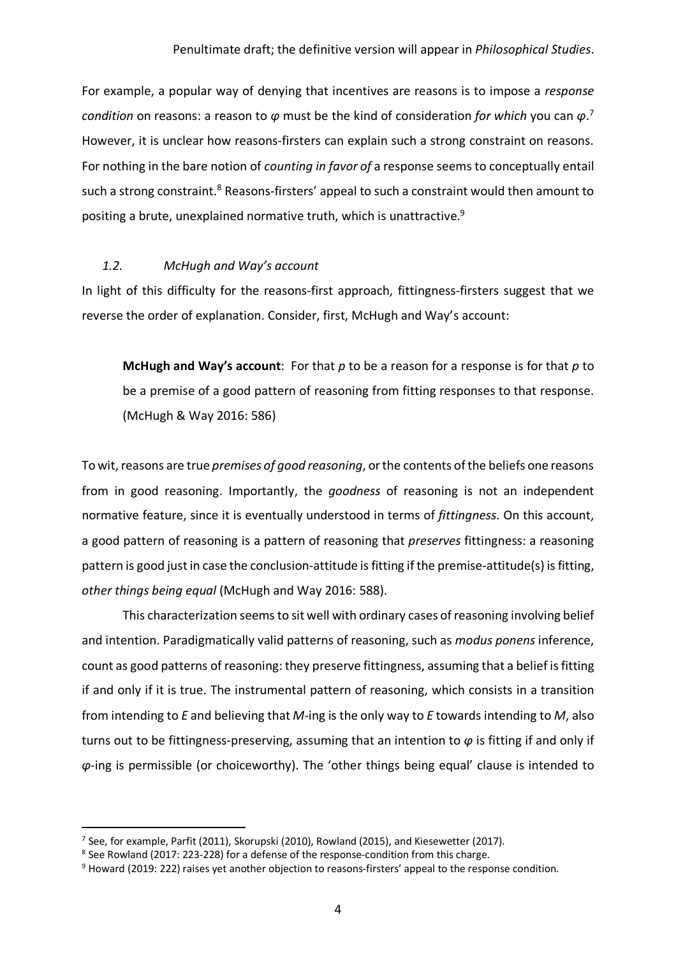For example, a popular way of denying that incentives are reasons is to impose a *response condition* on reasons: a reason to *φ* must be the kind of consideration *for which* you can *φ*. 7 However, it is unclear how reasons-firsters can explain such a strong constraint on reasons. For nothing in the bare notion of *counting in favor of* a response seems to conceptually entail such a strong constraint.<sup>8</sup> Reasons-firsters' appeal to such a constraint would then amount to positing a brute, unexplained normative truth, which is unattractive.<sup>9</sup>

## *1.2. McHugh and Way's account*

In light of this difficulty for the reasons-first approach, fittingness-firsters suggest that we reverse the order of explanation. Consider, first, McHugh and Way's account:

**McHugh and Way's account**: For that *p* to be a reason for a response is for that *p* to be a premise of a good pattern of reasoning from fitting responses to that response. (McHugh & Way 2016: 586)

To wit, reasons are true *premises of good reasoning*, or the contents of the beliefs one reasons from in good reasoning. Importantly, the *goodness* of reasoning is not an independent normative feature, since it is eventually understood in terms of *fittingness*. On this account, a good pattern of reasoning is a pattern of reasoning that *preserves* fittingness: a reasoning pattern is good just in case the conclusion-attitude is fitting if the premise-attitude(s) is fitting, *other things being equal* (McHugh and Way 2016: 588).

This characterization seems to sit well with ordinary cases of reasoning involving belief and intention. Paradigmatically valid patterns of reasoning, such as *modus ponens* inference, count as good patterns of reasoning: they preserve fittingness, assuming that a belief is fitting if and only if it is true. The instrumental pattern of reasoning, which consists in a transition from intending to *E* and believing that *M*-ing is the only way to *E* towards intending to *M*, also turns out to be fittingness-preserving, assuming that an intention to *φ* is fitting if and only if *φ*-ing is permissible (or choiceworthy). The 'other things being equal' clause is intended to

 $<sup>7</sup>$  See, for example, Parfit (2011), Skorupski (2010), Rowland (2015), and Kiesewetter (2017).</sup>

<sup>8</sup> See Rowland (2017: 223-228) for a defense of the response-condition from this charge.

<sup>&</sup>lt;sup>9</sup> Howard (2019: 222) raises yet another objection to reasons-firsters' appeal to the response condition.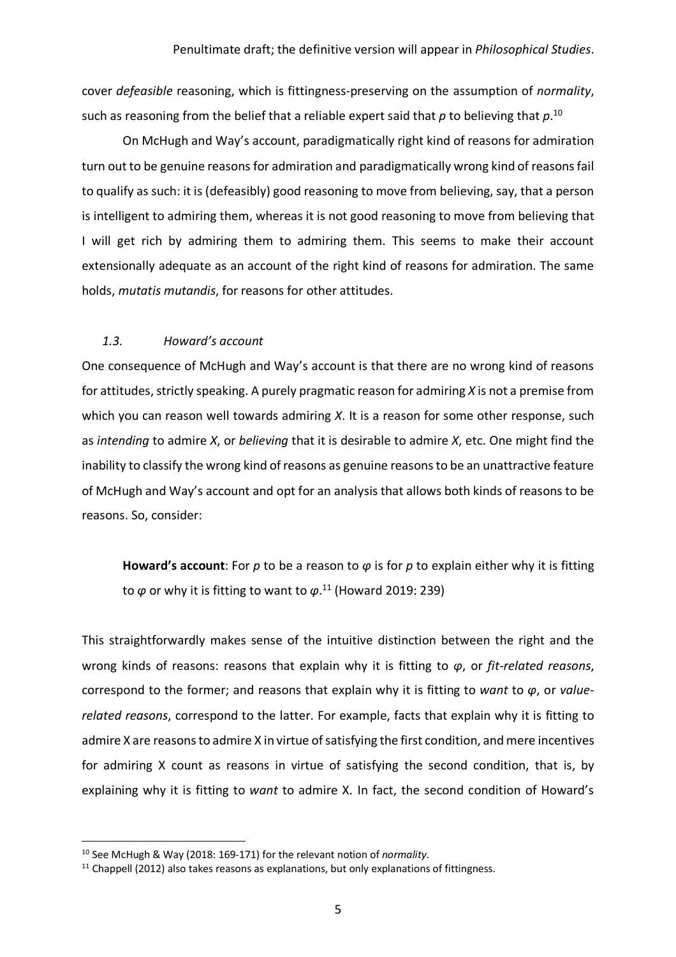cover *defeasible* reasoning, which is fittingness-preserving on the assumption of *normality*, such as reasoning from the belief that a reliable expert said that *p* to believing that *p*. 10

On McHugh and Way's account, paradigmatically right kind of reasons for admiration turn out to be genuine reasons for admiration and paradigmatically wrong kind of reasons fail to qualify as such: it is (defeasibly) good reasoning to move from believing, say, that a person is intelligent to admiring them, whereas it is not good reasoning to move from believing that I will get rich by admiring them to admiring them. This seems to make their account extensionally adequate as an account of the right kind of reasons for admiration. The same holds, *mutatis mutandis*, for reasons for other attitudes.

## *1.3. Howard's account*

One consequence of McHugh and Way's account is that there are no wrong kind of reasons for attitudes, strictly speaking. A purely pragmatic reason for admiring *X* is not a premise from which you can reason well towards admiring *X*. It is a reason for some other response, such as *intending* to admire *X*, or *believing* that it is desirable to admire *X*, etc. One might find the inability to classify the wrong kind of reasons as genuine reasons to be an unattractive feature of McHugh and Way's account and opt for an analysis that allows both kinds of reasons to be reasons. So, consider:

**Howard's account**: For *p* to be a reason to *φ* is for *p* to explain either why it is fitting to *φ* or why it is fitting to want to *φ*. <sup>11</sup> (Howard 2019: 239)

This straightforwardly makes sense of the intuitive distinction between the right and the wrong kinds of reasons: reasons that explain why it is fitting to *φ*, or *fit-related reasons*, correspond to the former; and reasons that explain why it is fitting to *want* to *φ*, or *valuerelated reasons*, correspond to the latter. For example, facts that explain why it is fitting to admire X are reasons to admire X in virtue of satisfying the first condition, and mere incentives for admiring X count as reasons in virtue of satisfying the second condition, that is, by explaining why it is fitting to *want* to admire X. In fact, the second condition of Howard's

 <sup>10</sup> See McHugh & Way (2018: 169-171) for the relevant notion of *normality*.

 $11$  Chappell (2012) also takes reasons as explanations, but only explanations of fittingness.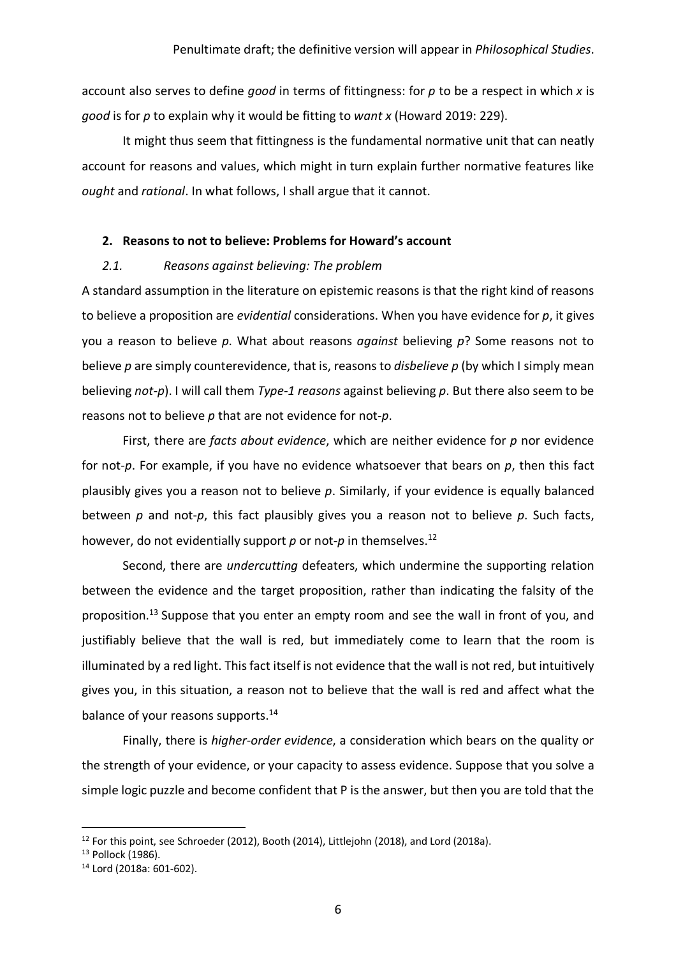account also serves to define *good* in terms of fittingness: for *p* to be a respect in which *x* is *good* is for *p* to explain why it would be fitting to *want x* (Howard 2019: 229).

It might thus seem that fittingness is the fundamental normative unit that can neatly account for reasons and values, which might in turn explain further normative features like *ought* and *rational*. In what follows, I shall argue that it cannot.

#### **2. Reasons to not to believe: Problems for Howard's account**

## *2.1. Reasons against believing: The problem*

A standard assumption in the literature on epistemic reasons is that the right kind of reasons to believe a proposition are *evidential* considerations. When you have evidence for *p*, it gives you a reason to believe *p*. What about reasons *against* believing *p*? Some reasons not to believe *p* are simply counterevidence, that is, reasons to *disbelieve p* (by which I simply mean believing *not-p*). I will call them *Type-1 reasons* against believing *p*. But there also seem to be reasons not to believe *p* that are not evidence for not-*p*.

First, there are *facts about evidence*, which are neither evidence for *p* nor evidence for not-*p*. For example, if you have no evidence whatsoever that bears on *p*, then this fact plausibly gives you a reason not to believe *p*. Similarly, if your evidence is equally balanced between *p* and not-*p*, this fact plausibly gives you a reason not to believe *p*. Such facts, however, do not evidentially support p or not-p in themselves.<sup>12</sup>

Second, there are *undercutting* defeaters, which undermine the supporting relation between the evidence and the target proposition, rather than indicating the falsity of the proposition.<sup>13</sup> Suppose that you enter an empty room and see the wall in front of you, and justifiably believe that the wall is red, but immediately come to learn that the room is illuminated by a red light. This fact itself is not evidence that the wall is not red, but intuitively gives you, in this situation, a reason not to believe that the wall is red and affect what the balance of your reasons supports.<sup>14</sup>

Finally, there is *higher-order evidence*, a consideration which bears on the quality or the strength of your evidence, or your capacity to assess evidence. Suppose that you solve a simple logic puzzle and become confident that P is the answer, but then you are told that the

<sup>&</sup>lt;sup>12</sup> For this point, see Schroeder (2012), Booth (2014), Littlejohn (2018), and Lord (2018a).<br><sup>13</sup> Pollock (1986).

<sup>14</sup> Lord (2018a: 601-602).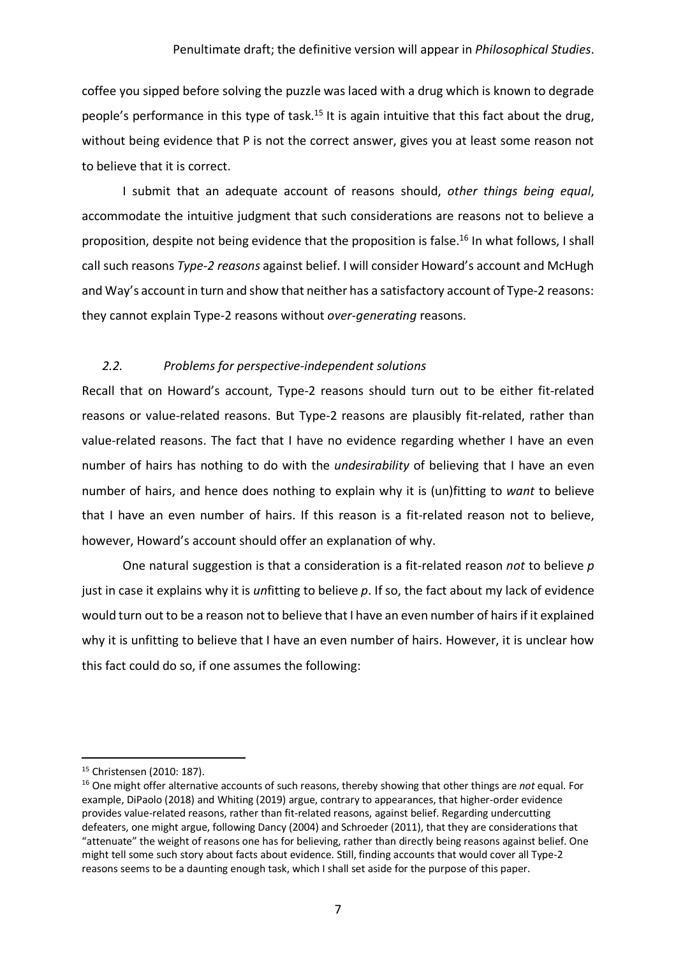coffee you sipped before solving the puzzle was laced with a drug which is known to degrade people's performance in this type of task.<sup>15</sup> It is again intuitive that this fact about the drug, without being evidence that P is not the correct answer, gives you at least some reason not to believe that it is correct.

I submit that an adequate account of reasons should, *other things being equal*, accommodate the intuitive judgment that such considerations are reasons not to believe a proposition, despite not being evidence that the proposition is false.<sup>16</sup> In what follows, I shall call such reasons *Type-2 reasons* against belief. I will consider Howard's account and McHugh and Way's account in turn and show that neither has a satisfactory account of Type-2 reasons: they cannot explain Type-2 reasons without *over-generating* reasons.

# *2.2. Problems for perspective-independent solutions*

Recall that on Howard's account, Type-2 reasons should turn out to be either fit-related reasons or value-related reasons. But Type-2 reasons are plausibly fit-related, rather than value-related reasons. The fact that I have no evidence regarding whether I have an even number of hairs has nothing to do with the *undesirability* of believing that I have an even number of hairs, and hence does nothing to explain why it is (un)fitting to *want* to believe that I have an even number of hairs. If this reason is a fit-related reason not to believe, however, Howard's account should offer an explanation of why.

One natural suggestion is that a consideration is a fit-related reason *not* to believe *p* just in case it explains why it is *un*fitting to believe *p*. If so, the fact about my lack of evidence would turn out to be a reason not to believe that I have an even number of hairs if it explained why it is unfitting to believe that I have an even number of hairs. However, it is unclear how this fact could do so, if one assumes the following:

 <sup>15</sup> Christensen (2010: 187).

<sup>16</sup> One might offer alternative accounts of such reasons, thereby showing that other things are *not* equal. For example, DiPaolo (2018) and Whiting (2019) argue, contrary to appearances, that higher-order evidence provides value-related reasons, rather than fit-related reasons, against belief. Regarding undercutting defeaters, one might argue, following Dancy (2004) and Schroeder (2011), that they are considerations that "attenuate" the weight of reasons one has for believing, rather than directly being reasons against belief. One might tell some such story about facts about evidence. Still, finding accounts that would cover all Type-2 reasons seems to be a daunting enough task, which I shall set aside for the purpose of this paper.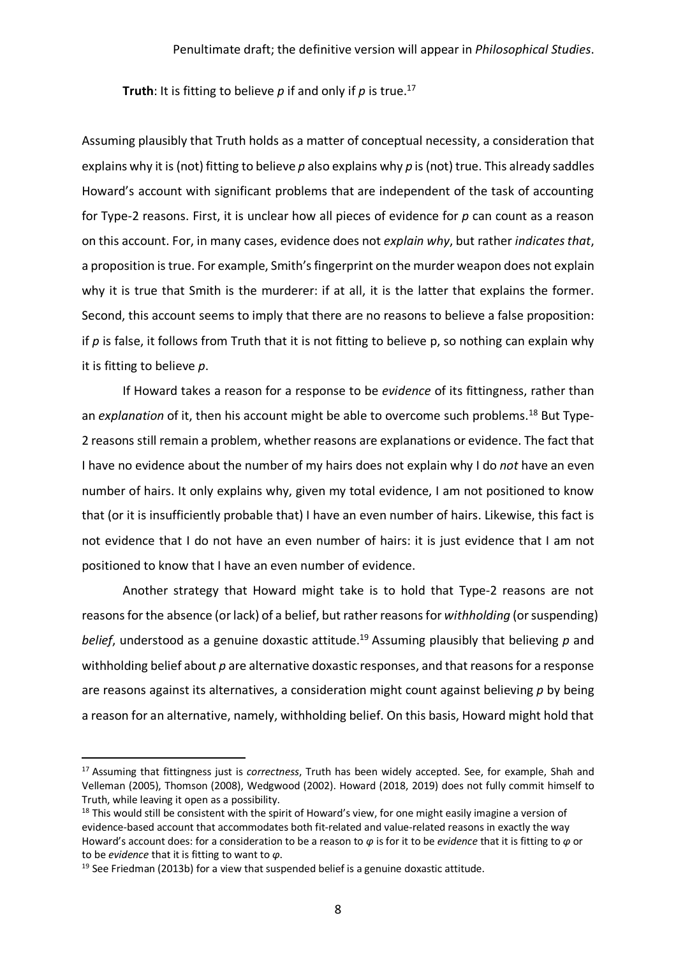**Truth**: It is fitting to believe  $p$  if and only if  $p$  is true.<sup>17</sup>

Assuming plausibly that Truth holds as a matter of conceptual necessity, a consideration that explains why it is (not) fitting to believe *p* also explains why *p* is (not) true. This already saddles Howard's account with significant problems that are independent of the task of accounting for Type-2 reasons. First, it is unclear how all pieces of evidence for *p* can count as a reason on this account. For, in many cases, evidence does not *explain why*, but rather *indicates that*, a proposition is true. For example, Smith's fingerprint on the murder weapon does not explain why it is true that Smith is the murderer: if at all, it is the latter that explains the former. Second, this account seems to imply that there are no reasons to believe a false proposition: if *p* is false, it follows from Truth that it is not fitting to believe p, so nothing can explain why it is fitting to believe *p*.

If Howard takes a reason for a response to be *evidence* of its fittingness, rather than an *explanation* of it, then his account might be able to overcome such problems.<sup>18</sup> But Type-2 reasons still remain a problem, whether reasons are explanations or evidence. The fact that I have no evidence about the number of my hairs does not explain why I do *not* have an even number of hairs. It only explains why, given my total evidence, I am not positioned to know that (or it is insufficiently probable that) I have an even number of hairs. Likewise, this fact is not evidence that I do not have an even number of hairs: it is just evidence that I am not positioned to know that I have an even number of evidence.

Another strategy that Howard might take is to hold that Type-2 reasons are not reasons for the absence (or lack) of a belief, but rather reasons for *withholding* (or suspending) *belief*, understood as a genuine doxastic attitude. <sup>19</sup> Assuming plausibly that believing *p* and withholding belief about *p* are alternative doxastic responses, and that reasons for a response are reasons against its alternatives, a consideration might count against believing *p* by being a reason for an alternative, namely, withholding belief. On this basis, Howard might hold that

 <sup>17</sup> Assuming that fittingness just is *correctness*, Truth has been widely accepted. See, for example, Shah and Velleman (2005), Thomson (2008), Wedgwood (2002). Howard (2018, 2019) does not fully commit himself to Truth, while leaving it open as a possibility.

 $18$  This would still be consistent with the spirit of Howard's view, for one might easily imagine a version of evidence-based account that accommodates both fit-related and value-related reasons in exactly the way Howard's account does: for a consideration to be a reason to *φ* is for it to be *evidence* that it is fitting to *φ* or to be *evidence* that it is fitting to want to *φ*.

 $19$  See Friedman (2013b) for a view that suspended belief is a genuine doxastic attitude.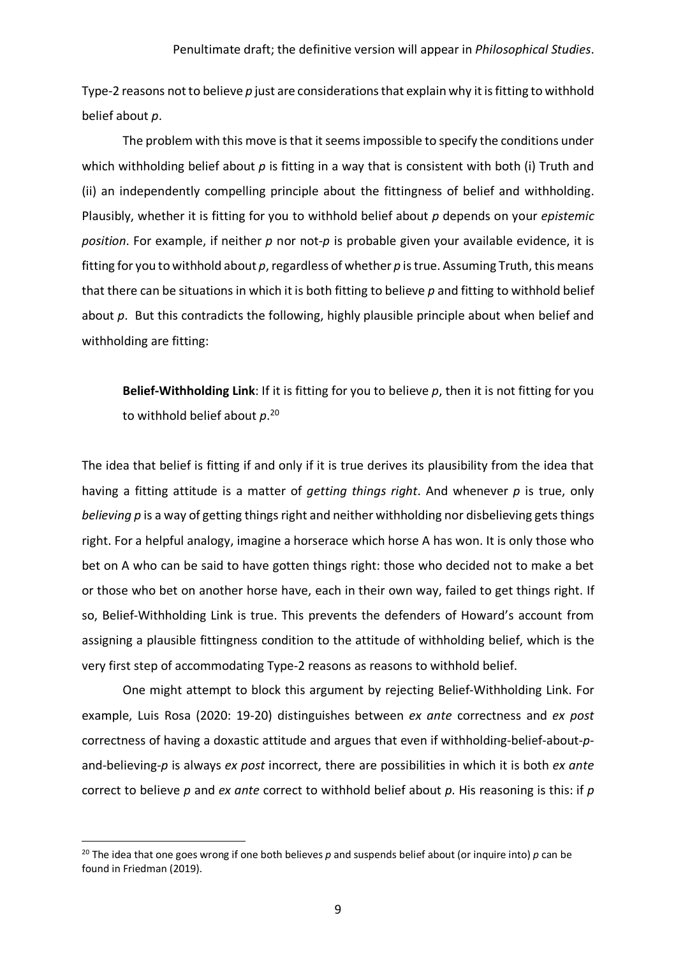Type-2 reasons not to believe *p* just are considerations that explain why it is fitting to withhold belief about *p*.

The problem with this move is that it seems impossible to specify the conditions under which withholding belief about *p* is fitting in a way that is consistent with both (i) Truth and (ii) an independently compelling principle about the fittingness of belief and withholding. Plausibly, whether it is fitting for you to withhold belief about *p* depends on your *epistemic position*. For example, if neither *p* nor not-*p* is probable given your available evidence, it is fitting for you to withhold about *p*, regardless of whether *p* is true. Assuming Truth, this means that there can be situations in which it is both fitting to believe *p* and fitting to withhold belief about *p*. But this contradicts the following, highly plausible principle about when belief and withholding are fitting:

**Belief-Withholding Link**: If it is fitting for you to believe *p*, then it is not fitting for you to withhold belief about *p*. 20

The idea that belief is fitting if and only if it is true derives its plausibility from the idea that having a fitting attitude is a matter of *getting things right*. And whenever *p* is true, only *believing p* is a way of getting things right and neither withholding nor disbelieving gets things right. For a helpful analogy, imagine a horserace which horse A has won. It is only those who bet on A who can be said to have gotten things right: those who decided not to make a bet or those who bet on another horse have, each in their own way, failed to get things right. If so, Belief-Withholding Link is true. This prevents the defenders of Howard's account from assigning a plausible fittingness condition to the attitude of withholding belief, which is the very first step of accommodating Type-2 reasons as reasons to withhold belief.

One might attempt to block this argument by rejecting Belief-Withholding Link. For example, Luis Rosa (2020: 19-20) distinguishes between *ex ante* correctness and *ex post* correctness of having a doxastic attitude and argues that even if withholding-belief-about-*p*and-believing-*p* is always *ex post* incorrect, there are possibilities in which it is both *ex ante* correct to believe *p* and *ex ante* correct to withhold belief about *p*. His reasoning is this: if *p*

 <sup>20</sup> The idea that one goes wrong if one both believes *p* and suspends belief about (or inquire into) *<sup>p</sup>* can be found in Friedman (2019).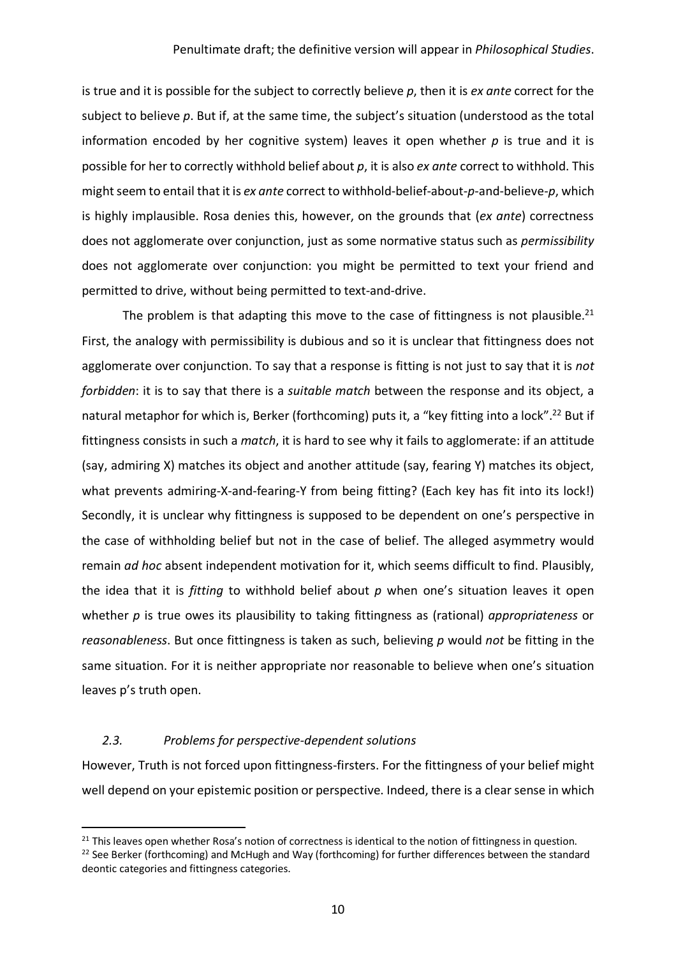is true and it is possible for the subject to correctly believe *p*, then it is *ex ante* correct for the subject to believe *p*. But if, at the same time, the subject's situation (understood as the total information encoded by her cognitive system) leaves it open whether  $p$  is true and it is possible for her to correctly withhold belief about *p*, it is also *ex ante* correct to withhold. This might seem to entail that it is *ex ante* correct to withhold-belief-about-*p*-and-believe-*p*, which is highly implausible. Rosa denies this, however, on the grounds that (*ex ante*) correctness does not agglomerate over conjunction, just as some normative status such as *permissibility* does not agglomerate over conjunction: you might be permitted to text your friend and permitted to drive, without being permitted to text-and-drive.

The problem is that adapting this move to the case of fittingness is not plausible.<sup>21</sup> First, the analogy with permissibility is dubious and so it is unclear that fittingness does not agglomerate over conjunction. To say that a response is fitting is not just to say that it is *not forbidden*: it is to say that there is a *suitable match* between the response and its object, a natural metaphor for which is, Berker (forthcoming) puts it, a "key fitting into a lock".<sup>22</sup> But if fittingness consists in such a *match*, it is hard to see why it fails to agglomerate: if an attitude (say, admiring X) matches its object and another attitude (say, fearing Y) matches its object, what prevents admiring-X-and-fearing-Y from being fitting? (Each key has fit into its lock!) Secondly, it is unclear why fittingness is supposed to be dependent on one's perspective in the case of withholding belief but not in the case of belief. The alleged asymmetry would remain *ad hoc* absent independent motivation for it, which seems difficult to find. Plausibly, the idea that it is *fitting* to withhold belief about *p* when one's situation leaves it open whether *p* is true owes its plausibility to taking fittingness as (rational) *appropriateness* or *reasonableness*. But once fittingness is taken as such, believing *p* would *not* be fitting in the same situation. For it is neither appropriate nor reasonable to believe when one's situation leaves p's truth open.

## *2.3. Problems for perspective-dependent solutions*

However, Truth is not forced upon fittingness-firsters. For the fittingness of your belief might well depend on your epistemic position or perspective. Indeed, there is a clear sense in which

<sup>&</sup>lt;sup>21</sup> This leaves open whether Rosa's notion of correctness is identical to the notion of fittingness in question.

<sup>&</sup>lt;sup>22</sup> See Berker (forthcoming) and McHugh and Way (forthcoming) for further differences between the standard deontic categories and fittingness categories.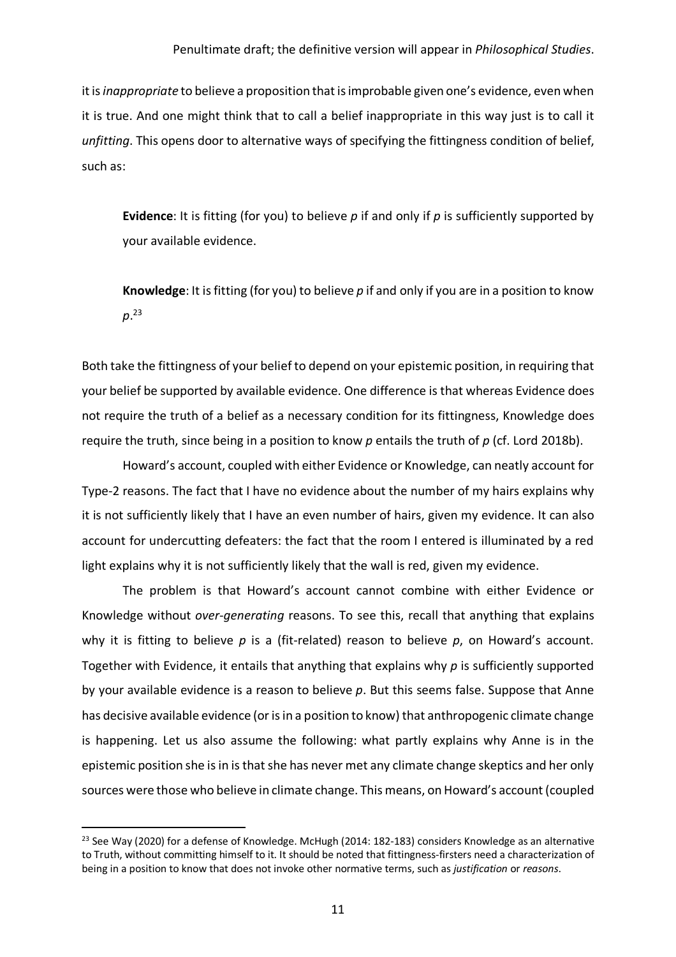it is *inappropriate* to believe a proposition that is improbable given one's evidence, even when it is true. And one might think that to call a belief inappropriate in this way just is to call it *unfitting*. This opens door to alternative ways of specifying the fittingness condition of belief, such as:

**Evidence**: It is fitting (for you) to believe *p* if and only if *p* is sufficiently supported by your available evidence.

**Knowledge**: It is fitting (for you) to believe *p* if and only if you are in a position to know *p*. 23

Both take the fittingness of your belief to depend on your epistemic position, in requiring that your belief be supported by available evidence. One difference is that whereas Evidence does not require the truth of a belief as a necessary condition for its fittingness, Knowledge does require the truth, since being in a position to know *p* entails the truth of *p* (cf. Lord 2018b).

Howard's account, coupled with either Evidence or Knowledge, can neatly account for Type-2 reasons. The fact that I have no evidence about the number of my hairs explains why it is not sufficiently likely that I have an even number of hairs, given my evidence. It can also account for undercutting defeaters: the fact that the room I entered is illuminated by a red light explains why it is not sufficiently likely that the wall is red, given my evidence.

The problem is that Howard's account cannot combine with either Evidence or Knowledge without *over-generating* reasons. To see this, recall that anything that explains why it is fitting to believe *p* is a (fit-related) reason to believe *p*, on Howard's account. Together with Evidence, it entails that anything that explains why *p* is sufficiently supported by your available evidence is a reason to believe *p*. But this seems false. Suppose that Anne has decisive available evidence (or is in a position to know) that anthropogenic climate change is happening. Let us also assume the following: what partly explains why Anne is in the epistemic position she is in is that she has never met any climate change skeptics and her only sources were those who believe in climate change. This means, on Howard's account (coupled

<sup>&</sup>lt;sup>23</sup> See Way (2020) for a defense of Knowledge. McHugh (2014: 182-183) considers Knowledge as an alternative to Truth, without committing himself to it. It should be noted that fittingness-firsters need a characterization of being in a position to know that does not invoke other normative terms, such as *justification* or *reasons*.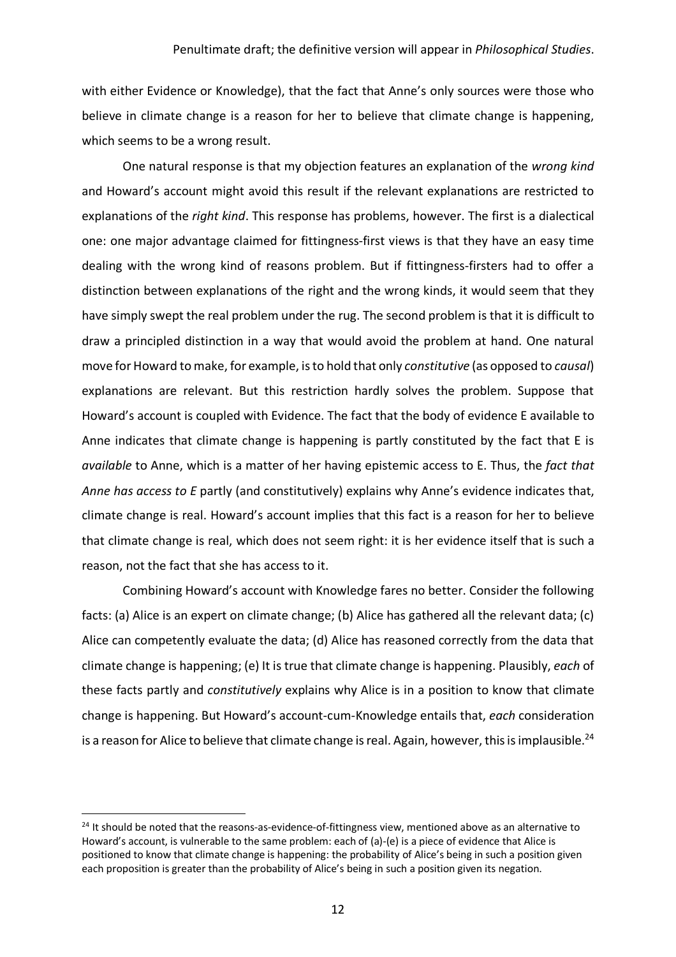with either Evidence or Knowledge), that the fact that Anne's only sources were those who believe in climate change is a reason for her to believe that climate change is happening, which seems to be a wrong result.

One natural response is that my objection features an explanation of the *wrong kind* and Howard's account might avoid this result if the relevant explanations are restricted to explanations of the *right kind*. This response has problems, however. The first is a dialectical one: one major advantage claimed for fittingness-first views is that they have an easy time dealing with the wrong kind of reasons problem. But if fittingness-firsters had to offer a distinction between explanations of the right and the wrong kinds, it would seem that they have simply swept the real problem under the rug. The second problem is that it is difficult to draw a principled distinction in a way that would avoid the problem at hand. One natural move for Howard to make, for example, is to hold that only *constitutive* (as opposed to *causal*) explanations are relevant. But this restriction hardly solves the problem. Suppose that Howard's account is coupled with Evidence. The fact that the body of evidence E available to Anne indicates that climate change is happening is partly constituted by the fact that E is *available* to Anne, which is a matter of her having epistemic access to E. Thus, the *fact that Anne has access to E* partly (and constitutively) explains why Anne's evidence indicates that, climate change is real. Howard's account implies that this fact is a reason for her to believe that climate change is real, which does not seem right: it is her evidence itself that is such a reason, not the fact that she has access to it.

Combining Howard's account with Knowledge fares no better. Consider the following facts: (a) Alice is an expert on climate change; (b) Alice has gathered all the relevant data; (c) Alice can competently evaluate the data; (d) Alice has reasoned correctly from the data that climate change is happening; (e) It is true that climate change is happening. Plausibly, *each* of these facts partly and *constitutively* explains why Alice is in a position to know that climate change is happening. But Howard's account-cum-Knowledge entails that, *each* consideration is a reason for Alice to believe that climate change is real. Again, however, this is implausible.<sup>24</sup>

 $24$  It should be noted that the reasons-as-evidence-of-fittingness view, mentioned above as an alternative to Howard's account, is vulnerable to the same problem: each of (a)-(e) is a piece of evidence that Alice is positioned to know that climate change is happening: the probability of Alice's being in such a position given each proposition is greater than the probability of Alice's being in such a position given its negation.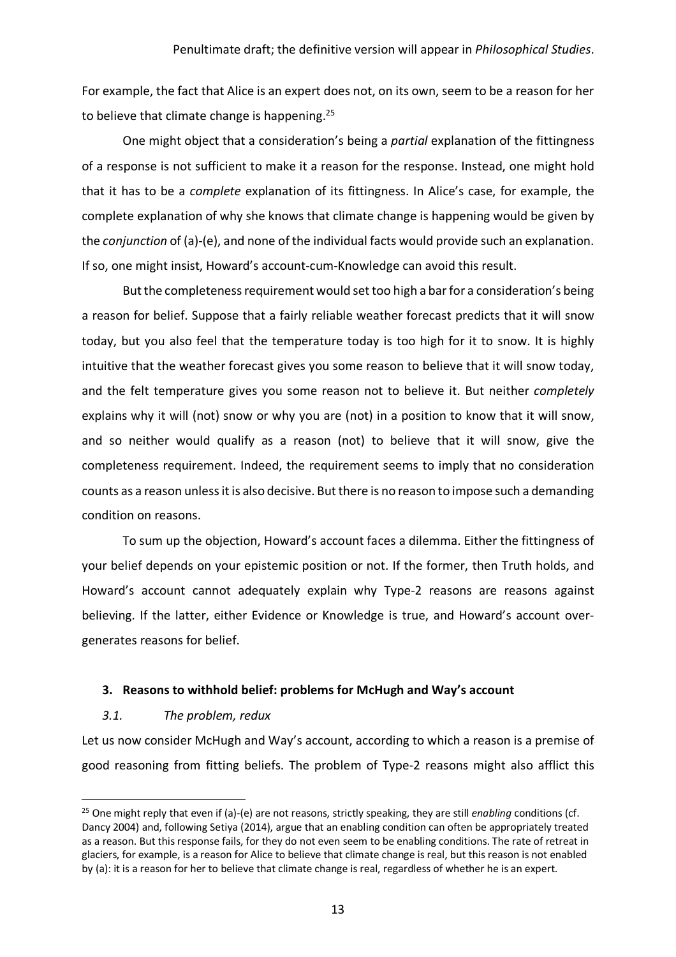For example, the fact that Alice is an expert does not, on its own, seem to be a reason for her to believe that climate change is happening.<sup>25</sup>

One might object that a consideration's being a *partial* explanation of the fittingness of a response is not sufficient to make it a reason for the response. Instead, one might hold that it has to be a *complete* explanation of its fittingness. In Alice's case, for example, the complete explanation of why she knows that climate change is happening would be given by the *conjunction* of (a)-(e), and none of the individual facts would provide such an explanation. If so, one might insist, Howard's account-cum-Knowledge can avoid this result.

But the completeness requirement would set too high a bar for a consideration's being a reason for belief. Suppose that a fairly reliable weather forecast predicts that it will snow today, but you also feel that the temperature today is too high for it to snow. It is highly intuitive that the weather forecast gives you some reason to believe that it will snow today, and the felt temperature gives you some reason not to believe it. But neither *completely* explains why it will (not) snow or why you are (not) in a position to know that it will snow, and so neither would qualify as a reason (not) to believe that it will snow, give the completeness requirement. Indeed, the requirement seems to imply that no consideration counts as a reason unless it is also decisive. But there is no reason to impose such a demanding condition on reasons.

To sum up the objection, Howard's account faces a dilemma. Either the fittingness of your belief depends on your epistemic position or not. If the former, then Truth holds, and Howard's account cannot adequately explain why Type-2 reasons are reasons against believing. If the latter, either Evidence or Knowledge is true, and Howard's account overgenerates reasons for belief.

## **3. Reasons to withhold belief: problems for McHugh and Way's account**

#### *3.1. The problem, redux*

Let us now consider McHugh and Way's account, according to which a reason is a premise of good reasoning from fitting beliefs. The problem of Type-2 reasons might also afflict this

 <sup>25</sup> One might reply that even if (a)-(e) are not reasons, strictly speaking, they are still *enabling* conditions (cf. Dancy 2004) and, following Setiya (2014), argue that an enabling condition can often be appropriately treated as a reason. But this response fails, for they do not even seem to be enabling conditions. The rate of retreat in glaciers, for example, is a reason for Alice to believe that climate change is real, but this reason is not enabled by (a): it is a reason for her to believe that climate change is real, regardless of whether he is an expert.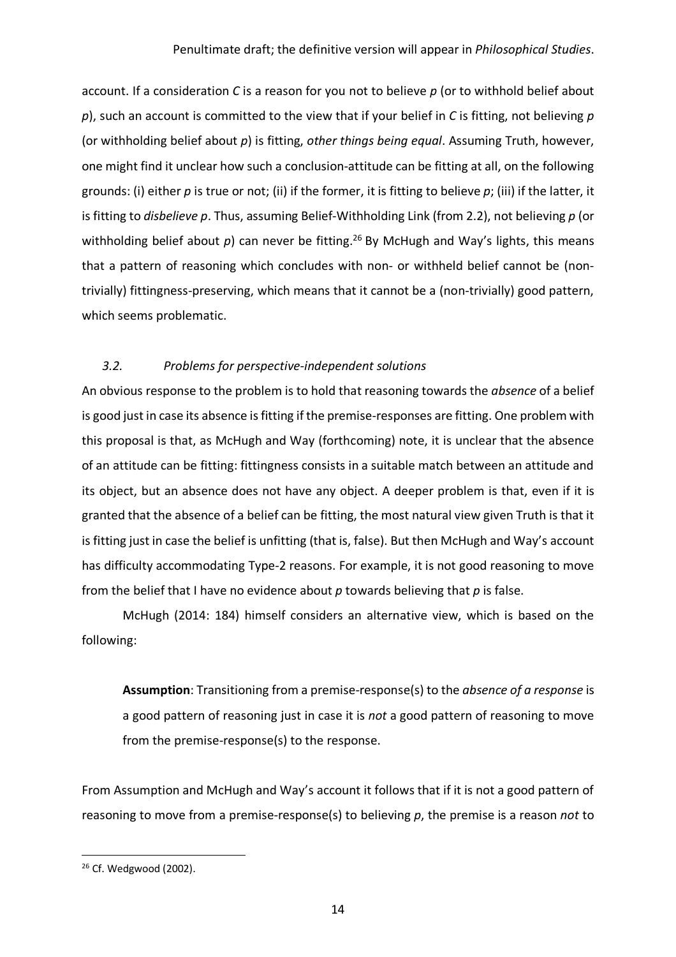account. If a consideration *C* is a reason for you not to believe *p* (or to withhold belief about *p*), such an account is committed to the view that if your belief in *C* is fitting, not believing *p* (or withholding belief about *p*) is fitting, *other things being equal*. Assuming Truth, however, one might find it unclear how such a conclusion-attitude can be fitting at all, on the following grounds: (i) either *p* is true or not; (ii) if the former, it is fitting to believe *p*; (iii) if the latter, it is fitting to *disbelieve p*. Thus, assuming Belief-Withholding Link (from 2.2), not believing *p* (or withholding belief about  $p$ ) can never be fitting.<sup>26</sup> By McHugh and Way's lights, this means that a pattern of reasoning which concludes with non- or withheld belief cannot be (nontrivially) fittingness-preserving, which means that it cannot be a (non-trivially) good pattern, which seems problematic.

# *3.2. Problems for perspective-independent solutions*

An obvious response to the problem is to hold that reasoning towards the *absence* of a belief is good just in case its absence is fitting if the premise-responses are fitting. One problem with this proposal is that, as McHugh and Way (forthcoming) note, it is unclear that the absence of an attitude can be fitting: fittingness consists in a suitable match between an attitude and its object, but an absence does not have any object. A deeper problem is that, even if it is granted that the absence of a belief can be fitting, the most natural view given Truth is that it is fitting just in case the belief is unfitting (that is, false). But then McHugh and Way's account has difficulty accommodating Type-2 reasons. For example, it is not good reasoning to move from the belief that I have no evidence about *p* towards believing that *p* is false.

McHugh (2014: 184) himself considers an alternative view, which is based on the following:

**Assumption**: Transitioning from a premise-response(s) to the *absence of a response* is a good pattern of reasoning just in case it is *not* a good pattern of reasoning to move from the premise-response(s) to the response.

From Assumption and McHugh and Way's account it follows that if it is not a good pattern of reasoning to move from a premise-response(s) to believing *p*, the premise is a reason *not* to

<sup>&</sup>lt;sup>26</sup> Cf. Wedgwood (2002).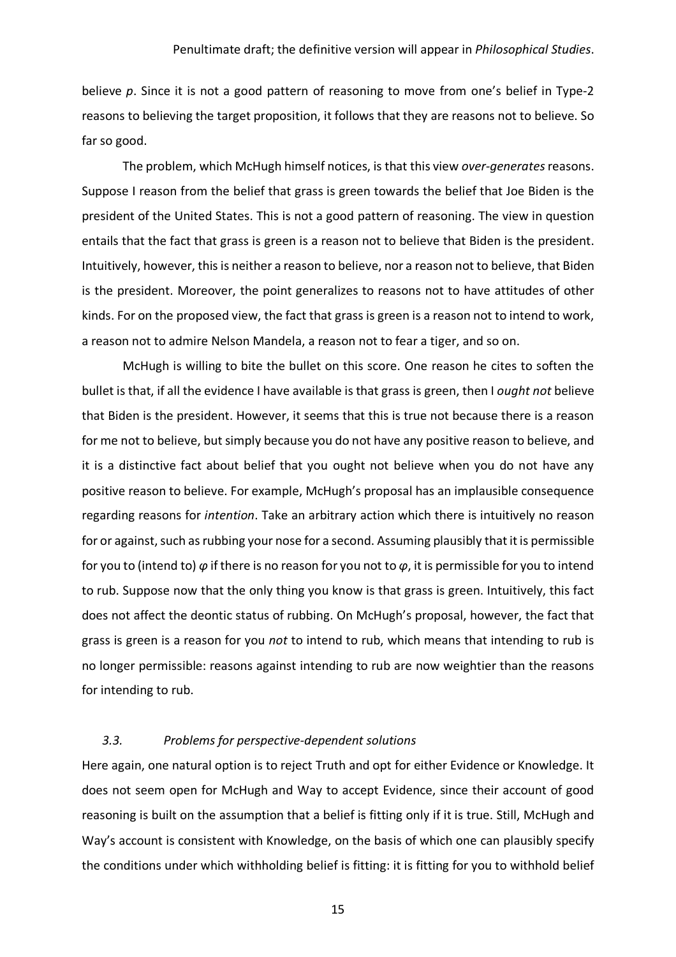believe *p*. Since it is not a good pattern of reasoning to move from one's belief in Type-2 reasons to believing the target proposition, it follows that they are reasons not to believe. So far so good.

The problem, which McHugh himself notices, is that this view *over-generates*reasons. Suppose I reason from the belief that grass is green towards the belief that Joe Biden is the president of the United States. This is not a good pattern of reasoning. The view in question entails that the fact that grass is green is a reason not to believe that Biden is the president. Intuitively, however, this is neither a reason to believe, nor a reason not to believe, that Biden is the president. Moreover, the point generalizes to reasons not to have attitudes of other kinds. For on the proposed view, the fact that grass is green is a reason not to intend to work, a reason not to admire Nelson Mandela, a reason not to fear a tiger, and so on.

McHugh is willing to bite the bullet on this score. One reason he cites to soften the bullet is that, if all the evidence I have available is that grass is green, then I *ought not* believe that Biden is the president. However, it seems that this is true not because there is a reason for me not to believe, but simply because you do not have any positive reason to believe, and it is a distinctive fact about belief that you ought not believe when you do not have any positive reason to believe. For example, McHugh's proposal has an implausible consequence regarding reasons for *intention*. Take an arbitrary action which there is intuitively no reason for or against, such as rubbing your nose for a second. Assuming plausibly that it is permissible for you to (intend to) *φ* if there is no reason for you not to *φ*, it is permissible for you to intend to rub. Suppose now that the only thing you know is that grass is green. Intuitively, this fact does not affect the deontic status of rubbing. On McHugh's proposal, however, the fact that grass is green is a reason for you *not* to intend to rub, which means that intending to rub is no longer permissible: reasons against intending to rub are now weightier than the reasons for intending to rub.

## *3.3. Problems for perspective-dependent solutions*

Here again, one natural option is to reject Truth and opt for either Evidence or Knowledge. It does not seem open for McHugh and Way to accept Evidence, since their account of good reasoning is built on the assumption that a belief is fitting only if it is true. Still, McHugh and Way's account is consistent with Knowledge, on the basis of which one can plausibly specify the conditions under which withholding belief is fitting: it is fitting for you to withhold belief

15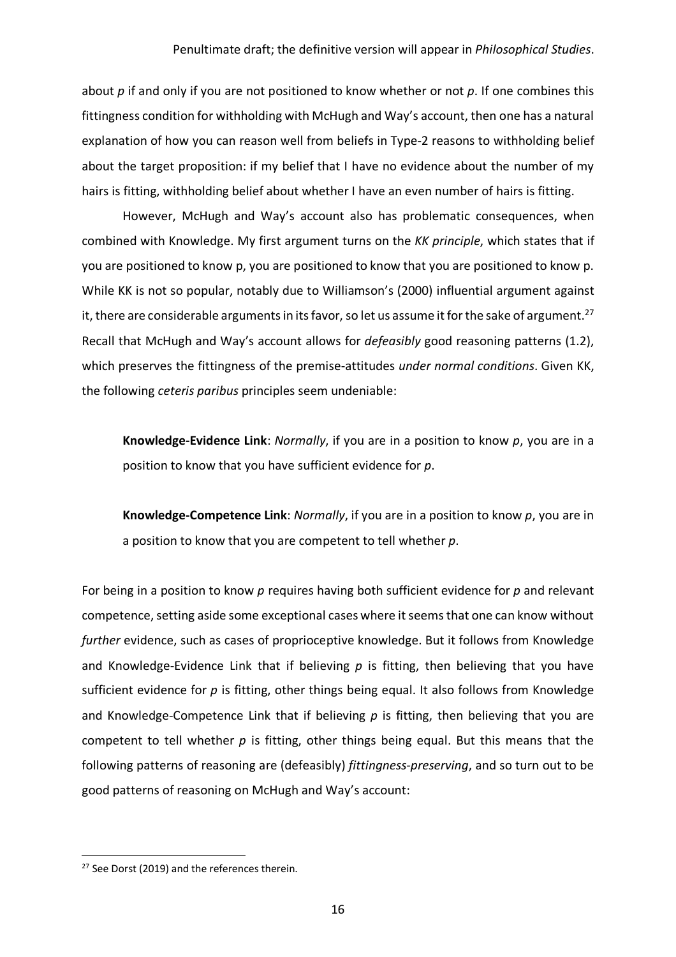about *p* if and only if you are not positioned to know whether or not *p*. If one combines this fittingness condition for withholding with McHugh and Way's account, then one has a natural explanation of how you can reason well from beliefs in Type-2 reasons to withholding belief about the target proposition: if my belief that I have no evidence about the number of my hairs is fitting, withholding belief about whether I have an even number of hairs is fitting.

However, McHugh and Way's account also has problematic consequences, when combined with Knowledge. My first argument turns on the *KK principle*, which states that if you are positioned to know p, you are positioned to know that you are positioned to know p. While KK is not so popular, notably due to Williamson's (2000) influential argument against it, there are considerable arguments in its favor, so let us assume it for the sake of argument.<sup>27</sup> Recall that McHugh and Way's account allows for *defeasibly* good reasoning patterns (1.2), which preserves the fittingness of the premise-attitudes *under normal conditions*. Given KK, the following *ceteris paribus* principles seem undeniable:

**Knowledge-Evidence Link**: *Normally*, if you are in a position to know *p*, you are in a position to know that you have sufficient evidence for *p*.

**Knowledge-Competence Link**: *Normally*, if you are in a position to know *p*, you are in a position to know that you are competent to tell whether *p*.

For being in a position to know *p* requires having both sufficient evidence for *p* and relevant competence, setting aside some exceptional cases where it seems that one can know without *further* evidence, such as cases of proprioceptive knowledge. But it follows from Knowledge and Knowledge-Evidence Link that if believing *p* is fitting, then believing that you have sufficient evidence for *p* is fitting, other things being equal. It also follows from Knowledge and Knowledge-Competence Link that if believing p is fitting, then believing that you are competent to tell whether *p* is fitting, other things being equal. But this means that the following patterns of reasoning are (defeasibly) *fittingness-preserving*, and so turn out to be good patterns of reasoning on McHugh and Way's account:

<sup>&</sup>lt;sup>27</sup> See Dorst (2019) and the references therein.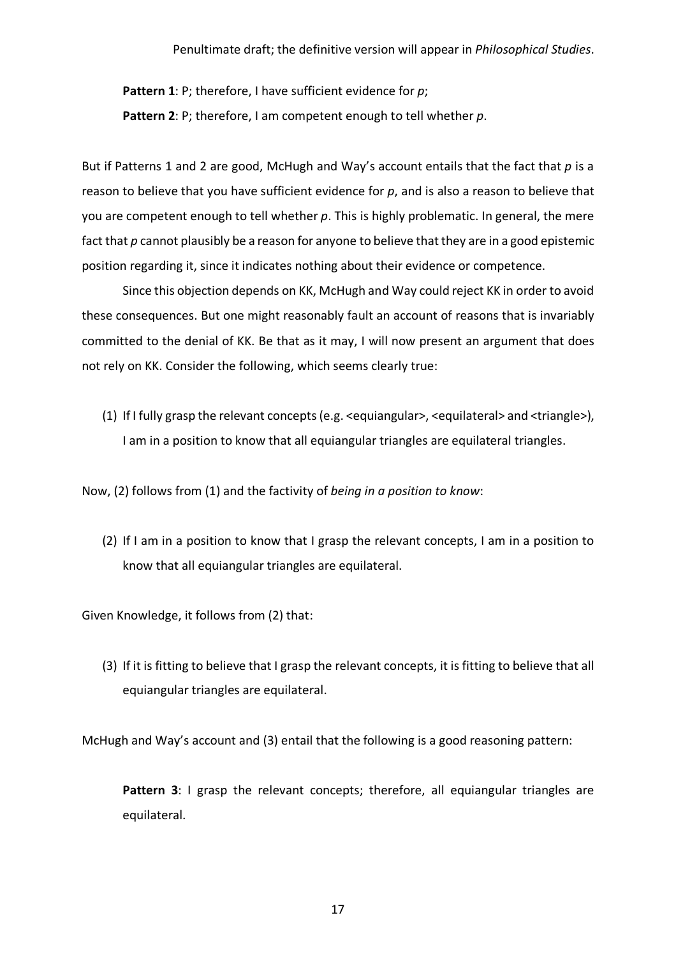**Pattern 1**: P; therefore, I have sufficient evidence for *p*; **Pattern 2**: P; therefore, I am competent enough to tell whether *p*.

But if Patterns 1 and 2 are good, McHugh and Way's account entails that the fact that p is a reason to believe that you have sufficient evidence for *p*, and is also a reason to believe that you are competent enough to tell whether *p*. This is highly problematic. In general, the mere fact that *p* cannot plausibly be a reason for anyone to believe that they are in a good epistemic position regarding it, since it indicates nothing about their evidence or competence.

Since this objection depends on KK, McHugh and Way could reject KK in order to avoid these consequences. But one might reasonably fault an account of reasons that is invariably committed to the denial of KK. Be that as it may, I will now present an argument that does not rely on KK. Consider the following, which seems clearly true:

(1) If I fully grasp the relevant concepts (e.g. <equiangular>, <equilateral> and <triangle>), I am in a position to know that all equiangular triangles are equilateral triangles.

Now, (2) follows from (1) and the factivity of *being in a position to know*:

(2) If I am in a position to know that I grasp the relevant concepts, I am in a position to know that all equiangular triangles are equilateral.

Given Knowledge, it follows from (2) that:

(3) If it is fitting to believe that I grasp the relevant concepts, it is fitting to believe that all equiangular triangles are equilateral.

McHugh and Way's account and (3) entail that the following is a good reasoning pattern:

Pattern 3: I grasp the relevant concepts; therefore, all equiangular triangles are equilateral.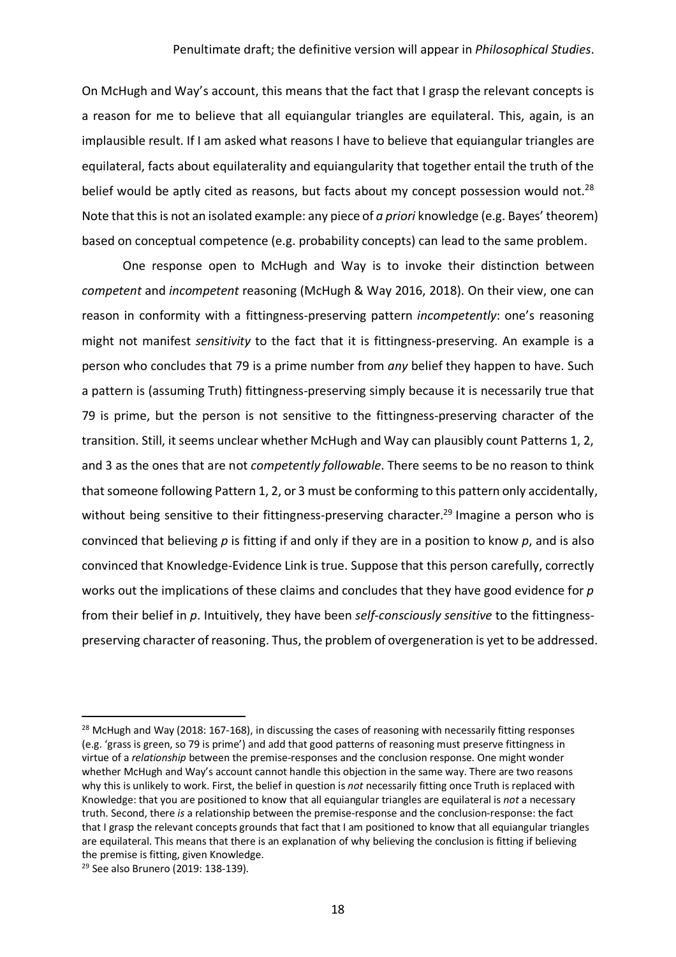On McHugh and Way's account, this means that the fact that I grasp the relevant concepts is a reason for me to believe that all equiangular triangles are equilateral. This, again, is an implausible result. If I am asked what reasons I have to believe that equiangular triangles are equilateral, facts about equilaterality and equiangularity that together entail the truth of the belief would be aptly cited as reasons, but facts about my concept possession would not.<sup>28</sup> Note that this is not an isolated example: any piece of *a priori* knowledge (e.g. Bayes' theorem) based on conceptual competence (e.g. probability concepts) can lead to the same problem.

One response open to McHugh and Way is to invoke their distinction between *competent* and *incompetent* reasoning (McHugh & Way 2016, 2018). On their view, one can reason in conformity with a fittingness-preserving pattern *incompetently*: one's reasoning might not manifest *sensitivity* to the fact that it is fittingness-preserving. An example is a person who concludes that 79 is a prime number from *any* belief they happen to have. Such a pattern is (assuming Truth) fittingness-preserving simply because it is necessarily true that 79 is prime, but the person is not sensitive to the fittingness-preserving character of the transition. Still, it seems unclear whether McHugh and Way can plausibly count Patterns 1, 2, and 3 as the ones that are not *competently followable*. There seems to be no reason to think that someone following Pattern 1, 2, or 3 must be conforming to this pattern only accidentally, without being sensitive to their fittingness-preserving character.<sup>29</sup> Imagine a person who is convinced that believing *p* is fitting if and only if they are in a position to know *p*, and is also convinced that Knowledge-Evidence Link is true. Suppose that this person carefully, correctly works out the implications of these claims and concludes that they have good evidence for *p* from their belief in *p*. Intuitively, they have been *self-consciously sensitive* to the fittingnesspreserving character of reasoning. Thus, the problem of overgeneration is yet to be addressed.

 $^{28}$  McHugh and Way (2018: 167-168), in discussing the cases of reasoning with necessarily fitting responses (e.g. 'grass is green, so 79 is prime') and add that good patterns of reasoning must preserve fittingness in virtue of a *relationship* between the premise-responses and the conclusion response. One might wonder whether McHugh and Way's account cannot handle this objection in the same way. There are two reasons why this is unlikely to work. First, the belief in question is *not* necessarily fitting once Truth is replaced with Knowledge: that you are positioned to know that all equiangular triangles are equilateral is *not* a necessary truth. Second, there *is* a relationship between the premise-response and the conclusion-response: the fact that I grasp the relevant concepts grounds that fact that I am positioned to know that all equiangular triangles are equilateral. This means that there is an explanation of why believing the conclusion is fitting if believing the premise is fitting, given Knowledge.

<sup>29</sup> See also Brunero (2019: 138-139).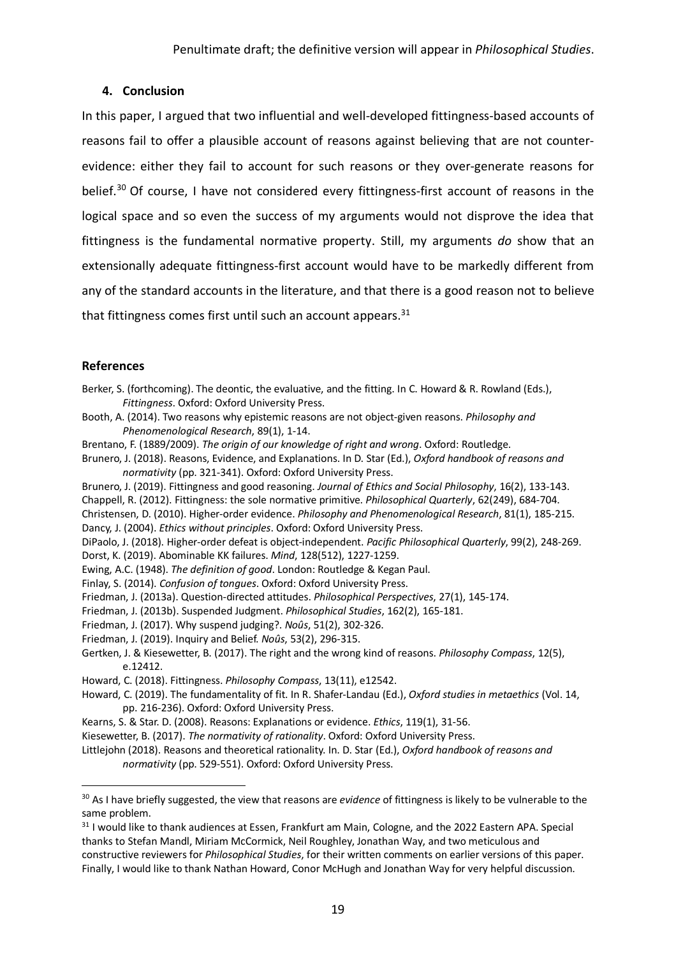## **4. Conclusion**

In this paper, I argued that two influential and well-developed fittingness-based accounts of reasons fail to offer a plausible account of reasons against believing that are not counterevidence: either they fail to account for such reasons or they over-generate reasons for belief.<sup>30</sup> Of course, I have not considered every fittingness-first account of reasons in the logical space and so even the success of my arguments would not disprove the idea that fittingness is the fundamental normative property. Still, my arguments *do* show that an extensionally adequate fittingness-first account would have to be markedly different from any of the standard accounts in the literature, and that there is a good reason not to believe that fittingness comes first until such an account appears. $31$ 

## **References**

Berker, S. (forthcoming). The deontic, the evaluative, and the fitting. In C. Howard & R. Rowland (Eds.), *Fittingness*. Oxford: Oxford University Press.

Booth, A. (2014). Two reasons why epistemic reasons are not object-given reasons. *Philosophy and Phenomenological Research*, 89(1), 1-14.

- Brentano, F. (1889/2009). *The origin of our knowledge of right and wrong*. Oxford: Routledge.
- Brunero, J. (2018). Reasons, Evidence, and Explanations. In D. Star (Ed.), *Oxford handbook of reasons and normativity* (pp. 321-341). Oxford: Oxford University Press.

Brunero, J. (2019). Fittingness and good reasoning. *Journal of Ethics and Social Philosophy*, 16(2), 133-143.

Chappell, R. (2012). Fittingness: the sole normative primitive. *Philosophical Quarterly*, 62(249), 684-704.

Christensen, D. (2010). Higher-order evidence. *Philosophy and Phenomenological Research*, 81(1), 185-215. Dancy, J. (2004). *Ethics without principles*. Oxford: Oxford University Press.

DiPaolo, J. (2018). Higher-order defeat is object-independent. *Pacific Philosophical Quarterly*, 99(2), 248-269. Dorst, K. (2019). Abominable KK failures. *Mind*, 128(512), 1227-1259.

- Ewing, A.C. (1948). *The definition of good*. London: Routledge & Kegan Paul.
- Finlay, S. (2014). *Confusion of tongues*. Oxford: Oxford University Press.
- Friedman, J. (2013a). Question-directed attitudes. *Philosophical Perspectives*, 27(1), 145-174.
- Friedman, J. (2013b). Suspended Judgment. *Philosophical Studies*, 162(2), 165-181.
- Friedman, J. (2017). Why suspend judging?. *Noûs*, 51(2), 302-326.
- Friedman, J. (2019). Inquiry and Belief. *Noûs*, 53(2), 296-315.
- Gertken, J. & Kiesewetter, B. (2017). The right and the wrong kind of reasons. *Philosophy Compass*, 12(5), e.12412.
- Howard, C. (2018). Fittingness. *Philosophy Compass*, 13(11), e12542.
- Howard, C. (2019). The fundamentality of fit. In R. Shafer-Landau (Ed.), *Oxford studies in metaethics* (Vol. 14, pp. 216-236). Oxford: Oxford University Press.
- Kearns, S. & Star. D. (2008). Reasons: Explanations or evidence. *Ethics*, 119(1), 31-56.
- Kiesewetter, B. (2017). *The normativity of rationality*. Oxford: Oxford University Press.

Littlejohn (2018). Reasons and theoretical rationality. In. D. Star (Ed.), *Oxford handbook of reasons and normativity* (pp. 529-551). Oxford: Oxford University Press.

 <sup>30</sup> As I have briefly suggested, the view that reasons are *evidence* of fittingness is likely to be vulnerable to the same problem.

<sup>&</sup>lt;sup>31</sup> I would like to thank audiences at Essen, Frankfurt am Main, Cologne, and the 2022 Eastern APA. Special thanks to Stefan Mandl, Miriam McCormick, Neil Roughley, Jonathan Way, and two meticulous and constructive reviewers for *Philosophical Studies*, for their written comments on earlier versions of this paper. Finally, I would like to thank Nathan Howard, Conor McHugh and Jonathan Way for very helpful discussion.